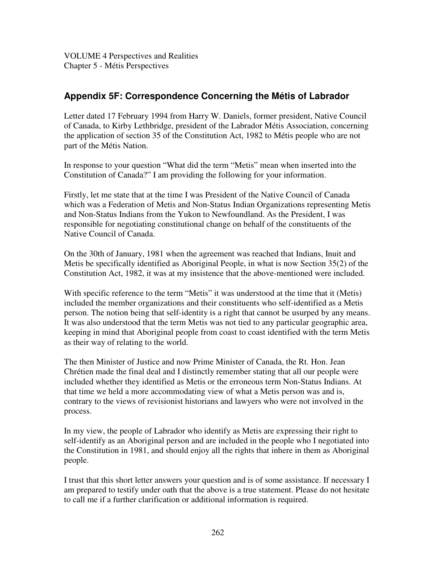VOLUME 4 Perspectives and Realities Chapter 5 - Métis Perspectives

## **Appendix 5F: Correspondence Concerning the Métis of Labrador**

Letter dated 17 February 1994 from Harry W. Daniels, former president, Native Council of Canada, to Kirby Lethbridge, president of the Labrador Métis Association, concerning the application of section 35 of the Constitution Act, 1982 to Métis people who are not part of the Métis Nation.

In response to your question "What did the term "Metis" mean when inserted into the Constitution of Canada?" I am providing the following for your information.

Firstly, let me state that at the time I was President of the Native Council of Canada which was a Federation of Metis and Non-Status Indian Organizations representing Metis and Non-Status Indians from the Yukon to Newfoundland. As the President, I was responsible for negotiating constitutional change on behalf of the constituents of the Native Council of Canada.

On the 30th of January, 1981 when the agreement was reached that Indians, Inuit and Metis be specifically identified as Aboriginal People, in what is now Section 35(2) of the Constitution Act, 1982, it was at my insistence that the above-mentioned were included.

With specific reference to the term "Metis" it was understood at the time that it (Metis) included the member organizations and their constituents who self-identified as a Metis person. The notion being that self-identity is a right that cannot be usurped by any means. It was also understood that the term Metis was not tied to any particular geographic area, keeping in mind that Aboriginal people from coast to coast identified with the term Metis as their way of relating to the world.

The then Minister of Justice and now Prime Minister of Canada, the Rt. Hon. Jean Chrétien made the final deal and I distinctly remember stating that all our people were included whether they identified as Metis or the erroneous term Non-Status Indians. At that time we held a more accommodating view of what a Metis person was and is, contrary to the views of revisionist historians and lawyers who were not involved in the process.

In my view, the people of Labrador who identify as Metis are expressing their right to self-identify as an Aboriginal person and are included in the people who I negotiated into the Constitution in 1981, and should enjoy all the rights that inhere in them as Aboriginal people.

I trust that this short letter answers your question and is of some assistance. If necessary I am prepared to testify under oath that the above is a true statement. Please do not hesitate to call me if a further clarification or additional information is required.